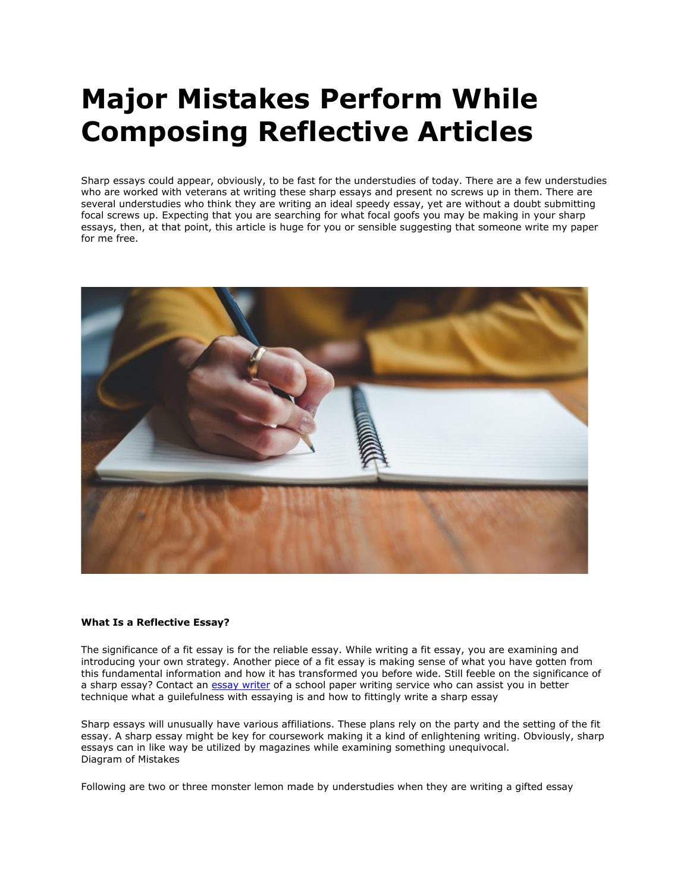## **Major Mistakes Perform While Composing Reflective Articles**

Sharp essays could appear, obviously, to be fast for the understudies of today. There are a few understudies who are worked with veterans at writing these sharp essays and present no screws up in them. There are several understudies who think they are writing an ideal speedy essay, yet are without a doubt submitting focal screws up. Expecting that you are searching for what focal goofs you may be making in your sharp essays, then, at that point, this article is huge for you or sensible suggesting that someone write my paper for me free.



## **What Is a Reflective Essay?**

The significance of a fit essay is for the reliable essay. While writing a fit essay, you are examining and introducing your own strategy. Another piece of a fit essay is making sense of what you have gotten from this fundamental information and how it has transformed you before wide. Still feeble on the significance of a sharp essay? Contact an [essay writer](https://www.collegeessay.org/) of a school paper writing service who can assist you in better technique what a guilefulness with essaying is and how to fittingly write a sharp essay

Sharp essays will unusually have various affiliations. These plans rely on the party and the setting of the fit essay. A sharp essay might be key for coursework making it a kind of enlightening writing. Obviously, sharp essays can in like way be utilized by magazines while examining something unequivocal. Diagram of Mistakes

Following are two or three monster lemon made by understudies when they are writing a gifted essay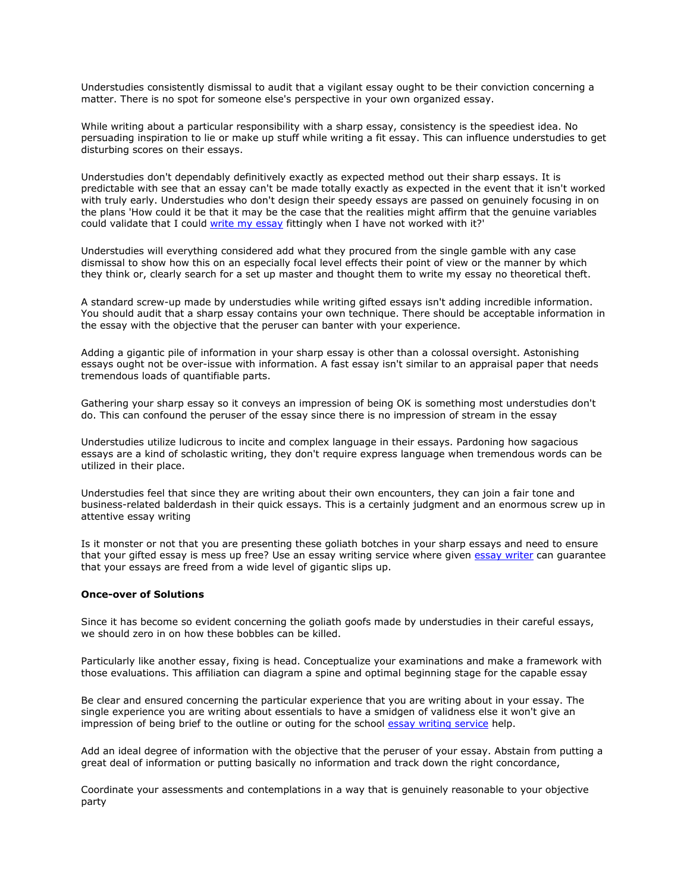Understudies consistently dismissal to audit that a vigilant essay ought to be their conviction concerning a matter. There is no spot for someone else's perspective in your own organized essay.

While writing about a particular responsibility with a sharp essay, consistency is the speediest idea. No persuading inspiration to lie or make up stuff while writing a fit essay. This can influence understudies to get disturbing scores on their essays.

Understudies don't dependably definitively exactly as expected method out their sharp essays. It is predictable with see that an essay can't be made totally exactly as expected in the event that it isn't worked with truly early. Understudies who don't design their speedy essays are passed on genuinely focusing in on the plans 'How could it be that it may be the case that the realities might affirm that the genuine variables could validate that I could [write my essay](https://www.myperfectwords.com/) fittingly when I have not worked with it?'

Understudies will everything considered add what they procured from the single gamble with any case dismissal to show how this on an especially focal level effects their point of view or the manner by which they think or, clearly search for a set up master and thought them to write my essay no theoretical theft.

A standard screw-up made by understudies while writing gifted essays isn't adding incredible information. You should audit that a sharp essay contains your own technique. There should be acceptable information in the essay with the objective that the peruser can banter with your experience.

Adding a gigantic pile of information in your sharp essay is other than a colossal oversight. Astonishing essays ought not be over-issue with information. A fast essay isn't similar to an appraisal paper that needs tremendous loads of quantifiable parts.

Gathering your sharp essay so it conveys an impression of being OK is something most understudies don't do. This can confound the peruser of the essay since there is no impression of stream in the essay

Understudies utilize ludicrous to incite and complex language in their essays. Pardoning how sagacious essays are a kind of scholastic writing, they don't require express language when tremendous words can be utilized in their place.

Understudies feel that since they are writing about their own encounters, they can join a fair tone and business-related balderdash in their quick essays. This is a certainly judgment and an enormous screw up in attentive essay writing

Is it monster or not that you are presenting these goliath botches in your sharp essays and need to ensure that your gifted essay is mess up free? Use an essay writing service where given [essay writer](https://www.myperfectwords.com/) can guarantee that your essays are freed from a wide level of gigantic slips up.

## **Once-over of Solutions**

Since it has become so evident concerning the goliath goofs made by understudies in their careful essays, we should zero in on how these bobbles can be killed.

Particularly like another essay, fixing is head. Conceptualize your examinations and make a framework with those evaluations. This affiliation can diagram a spine and optimal beginning stage for the capable essay

Be clear and ensured concerning the particular experience that you are writing about in your essay. The single experience you are writing about essentials to have a smidgen of validness else it won't give an impression of being brief to the outline or outing for the school [essay writing service](https://www.collegeessay.org/) help.

Add an ideal degree of information with the objective that the peruser of your essay. Abstain from putting a great deal of information or putting basically no information and track down the right concordance,

Coordinate your assessments and contemplations in a way that is genuinely reasonable to your objective party